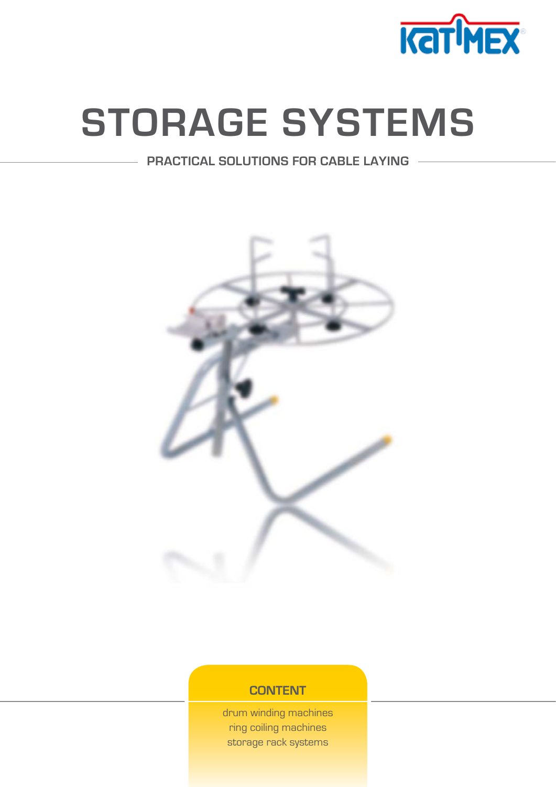

# **[STORAGE SYSTEMS](http://www.katimex.com/dh/dh.asp?dh=110)**

# **PRACTICAL SOLUTIONS FOR CABLE LAYING**



# **CONTENT**

[drum winding machines](#page-1-0) [ring coiling machines](#page-5-0) [storage rack systems](#page-8-0)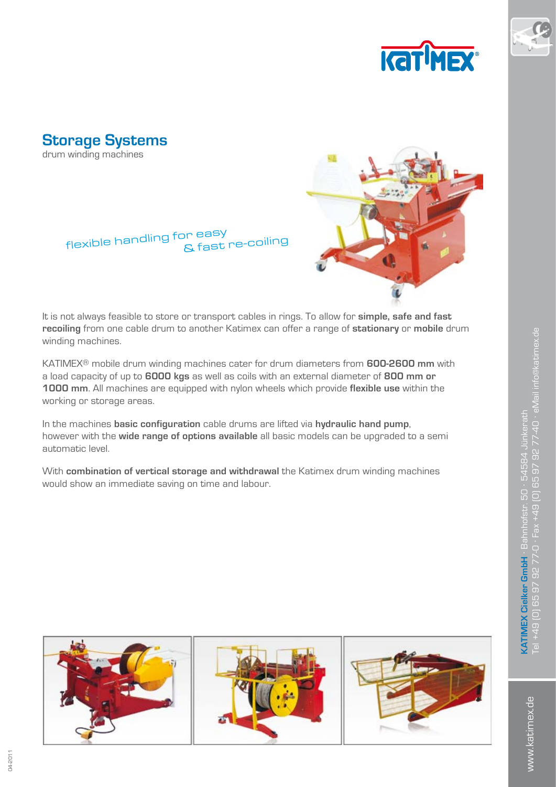



<span id="page-1-0"></span>**Storage Systems** drum winding machines



flexible handling for easy & fast re-coiling

It is not always feasible to store or transport cables in rings. To allow for **simple, safe and fast recoiling** from one cable drum to another Katimex can offer a range of **stationary** or **mobile** drum winding machines.

KATIMEX® mobile drum winding machines cater for drum diameters from **600-2600 mm** with a load capacity of up to **6000 kgs** as well as coils with an external diameter of **800 mm or 1000 mm**. All machines are equipped with nylon wheels which provide **flexible use** within the working or storage areas.

In the machines **basic configuration** cable drums are lifted via **hydraulic hand pump**, however with the **wide range of options available** all basic models can be upgraded to a semi automatic level.

With **combination of vertical storage and withdrawal** the Katimex drum winding machines would show an immediate saving on time and labour.

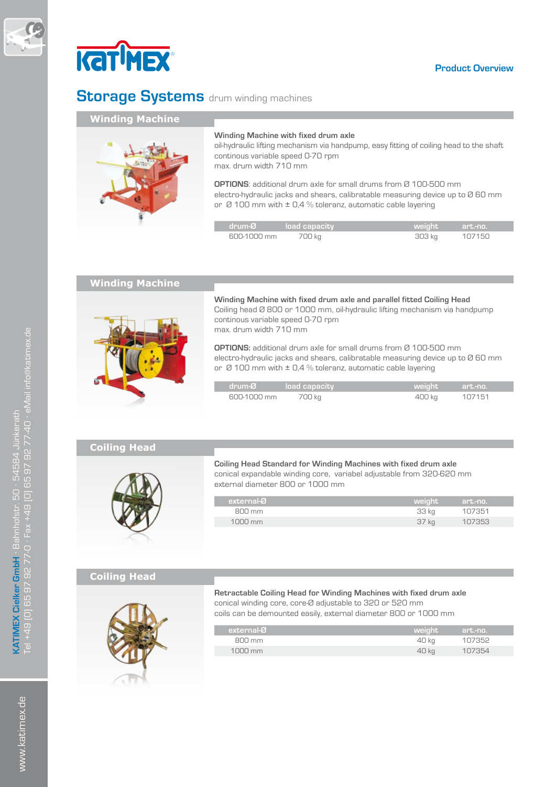



# **Storage Systems** drum winding machines

Г

I

# **Winding Machine**



#### **Winding Machine with fixed drum axle**

oil-hydraulic lifting mechanism via handpump, easy fitting of coiling head to the shaft continous variable speed 0-70 rpm max. drum width 710 mm

**OPTIONS**: additional drum axle for small drums from Ø 100-500 mm electro-hydraulic jacks and shears, calibratable measuring device up to Ø 60 mm or  $\varnothing$  100 mm with  $\pm$  0.4 % toleranz, automatic cable layering

| $\sqrt{2}$ drum- $\alpha$ $\alpha$ $\alpha$ $\alpha$ $\alpha$ $\alpha$ $\alpha$ |        | weight art.mo. |        |  |
|---------------------------------------------------------------------------------|--------|----------------|--------|--|
| $F_{\text{F}}$                                                                  | 700 kg |                | 107150 |  |

## **Winding Machine**



**Winding Machine with fixed drum axle and parallel fitted Coiling Head**  Coiling head Ø 800 or 1000 mm, oil-hydraulic lifting mechanism via handpump continous variable speed 0-70 rpm max. drum width 710 mm

**OPTIONS:** additional drum axle for small drums from Ø 100-500 mm electro-hydraulic jacks and shears, calibratable measuring device up to Ø 60 mm or  $\varnothing$  100 mm with  $\pm$  0,4 % toleranz, automatic cable layering

| drum-Ø load capacity |        | weight art, no. |
|----------------------|--------|-----------------|
| 600-1000 mm          | 700 kg | 107151          |

# **Coiling Head**



**Coiling Head Standard for Winding Machines with fixed drum axle** conical expandable winding core, variabel adjustable from 320-620 mm external diameter 800 or 1000 mm

| external-Ø                    | weight | art.-no. ' |
|-------------------------------|--------|------------|
| R <sub>0</sub> m <sub>m</sub> | 33 kg  | 107351     |
| $1000 \text{ mm}$             | 37 kg  | 107353     |
|                               |        |            |

## **Coiling Head**



**Retractable Coiling Head for Winding Machines with fixed drum axle** conical winding core, core-Ø adjustable to 320 or 520 mm

coils can be demounted easily, external diameter 800 or 1000 mm

| external-Ø                    | weight | art.-no. |
|-------------------------------|--------|----------|
| R <sub>0</sub> m <sub>m</sub> | 40 kg  | 107352   |
| $1000 \text{ mm}$             | 40 kg  | 107354   |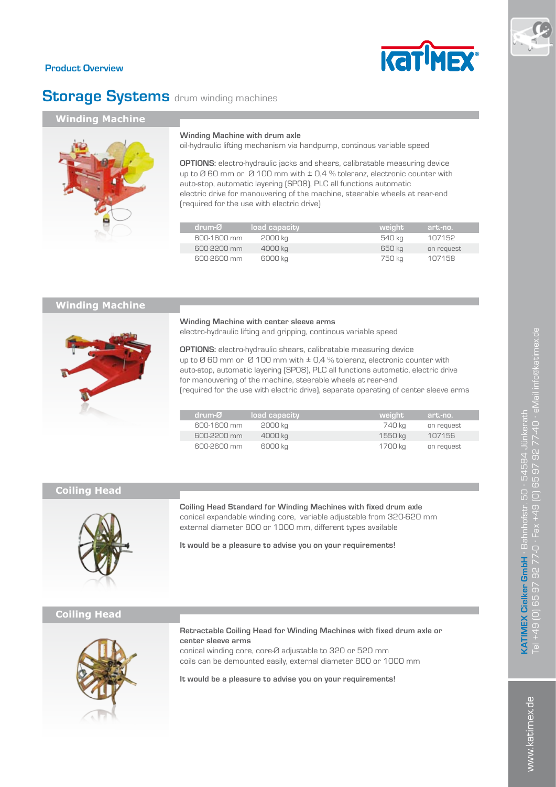## **Product Overview**

# **Storage Systems** drum winding machines

Г

Г

## **Winding Machine**



#### **Winding Machine with drum axle**

oil-hydraulic lifting mechanism via handpump, continous variable speed

**OPTIONS:** electro-hydraulic jacks and shears, calibratable measuring device up to  $\varnothing$  60 mm or  $\varnothing$  100 mm with  $\pm$  0,4 % toleranz, electronic counter with auto-stop, automatic layering (SP08), PLC all functions automatic electric drive for manouvering of the machine, steerable wheels at rear-end (required for the use with electric drive)

| drum-Ø      | load capacity | weight | art.-no.   |
|-------------|---------------|--------|------------|
| 600-1600 mm | 2000 kg       | 540 kg | 107152     |
| 600-2200 mm | 4000 kg       | 650 ka | on request |
| 600-2600 mm | 6000 kg       | 750 kg | 107158     |

# **Winding Machine**



**Winding Machine with center sleeve arms** electro-hydraulic lifting and gripping, continous variable speed

**OPTIONS:** electro-hydraulic shears, calibratable measuring device up to Ø 60 mm or Ø 100 mm with ± 0,4 % toleranz, electronic counter with auto-stop, automatic layering (SP08), PLC all functions automatic, electric drive for manouvering of the machine, steerable wheels at rear-end (required for the use with electric drive), separate operating of center sleeve arms

| drum-Ø      | load capacity | weight  | art.-no.   |
|-------------|---------------|---------|------------|
| 600-1600 mm | 2000 kg       | 740 ka  | on request |
| 600-2200 mm | 4000 kg       | 1550 ka | 107156     |
| 600-2600 mm | 6000 kg       | 1700 kg | on request |

## **Coiling Head**



**Coiling Head Standard for Winding Machines with fixed drum axle** conical expandable winding core, variable adjustable from 320-620 mm external diameter 800 or 1000 mm, different types available

**It would be a pleasure to advise you on your requirements!**

# **Coiling Head**



**Retractable Coiling Head for Winding Machines with fixed drum axle or center sleeve arms**

conical winding core, core-Ø adjustable to 320 or 520 mm coils can be demounted easily, external diameter 800 or 1000 mm

**It would be a pleasure to advise you on your requirements!**

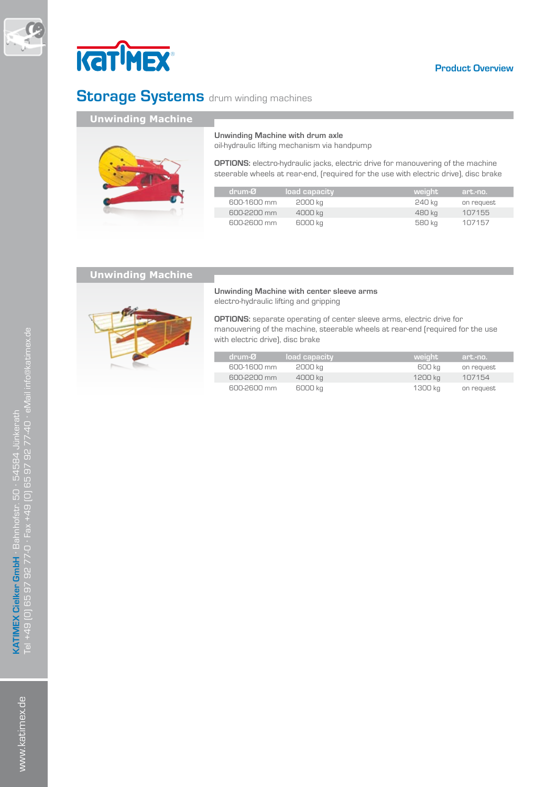



# **Storage Systems** drum winding machines

# **Unwinding Machine**



**Unwinding Machine with drum axle** 

oil-hydraulic lifting mechanism via handpump

**OPTIONS:** electro-hydraulic jacks, electric drive for manouvering of the machine steerable wheels at rear-end, (required for the use with electric drive), disc brake

| drum-Ø      | load capacity | weight | art.-no.   |
|-------------|---------------|--------|------------|
| 600-1600 mm | 2000 kg       | 240 kg | on request |
| 600-2200 mm | 4000 kg       | 480 ka | 107155     |
| 600-2600 mm | 6000 kg       | 580 kg | 107157     |

## **Unwinding Machine**



**Unwinding Machine with center sleeve arms** electro-hydraulic lifting and gripping

**OPTIONS:** separate operating of center sleeve arms, electric drive for manouvering of the machine, steerable wheels at rear-end (required for the use with electric drive), disc brake

| drum-Ø      | load capacity. | weight  | art.-no.   |
|-------------|----------------|---------|------------|
| 600-1600 mm | 2000 kg        | 600 ka  | on request |
| 600-2200 mm | 4000 kg        | 1200 ka | 107154     |
| 600-2600 mm | 6000 kg        | 1300 ka | on request |

www.katimex.de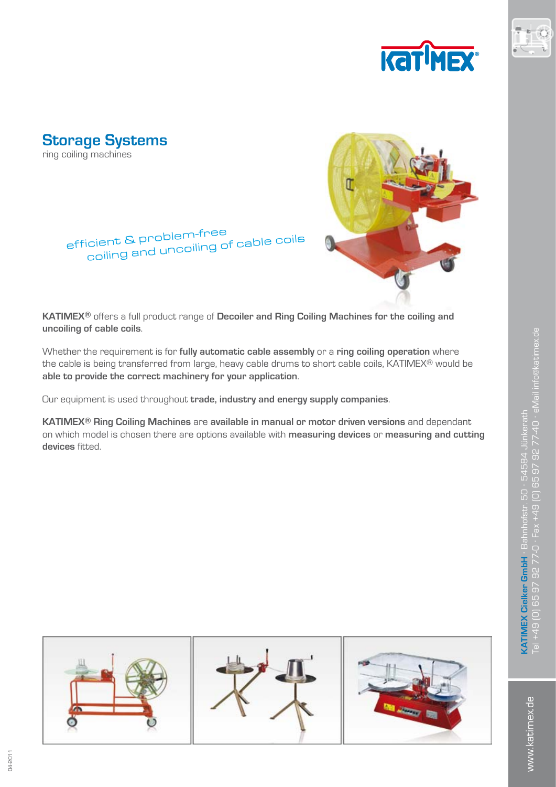



<span id="page-5-0"></span>

# efficient & problem-free coiling and uncoiling of cable coils



**KATIMEX®** offers a full product range of **Decoiler and Ring Coiling Machines for the coiling and uncoiling of cable coils**.

Whether the requirement is for **fully automatic cable assembly** or a **ring coiling operation** where the cable is being transferred from large, heavy cable drums to short cable coils, KATIMEX® would be **able to provide the correct machinery for your application**.

Our equipment is used throughout **trade, industry and energy supply companies**.

**KATIMEX® Ring Coiling Machines** are **available in manual or motor driven versions** and dependant on which model is chosen there are options available with **measuring devices** or **measuring and cutting devices** fitted.



www.katimex.de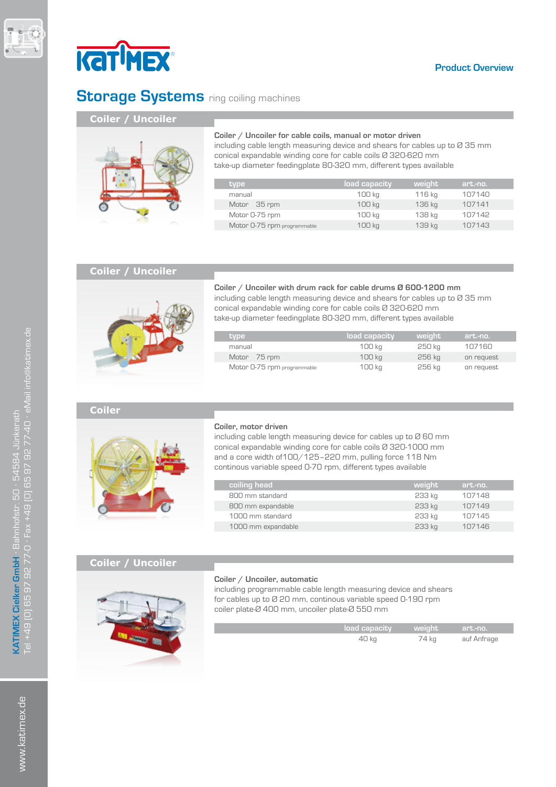



# **Storage Systems** ring coiling machines

I

# **Coiler / Uncoiler**



# **Coiler / Uncoiler for cable coils, manual or motor driven**

including cable length measuring device and shears for cables up to Ø 35 mm conical expandable winding core for cable coils Ø 320-620 mm take-up diameter feedingplate 80-320 mm, different types available

| type                        | load capacity | weight | art.-no. |  |
|-----------------------------|---------------|--------|----------|--|
| manual                      | 100 kg        | 116 kg | 107140   |  |
| Motor 35 rpm                | 100 kg        | 136 kg | 107141   |  |
| Motor 0-75 rpm              | 100 kg        | 138 kg | 107142   |  |
| Motor 0-75 rpm programmable | 100 kg        | 139 kg | 107143   |  |

## **Coiler / Uncoiler**

![](_page_6_Picture_10.jpeg)

## **Coiler / Uncoiler with drum rack for cable drums Ø 600-1200 mm**

including cable length measuring device and shears for cables up to Ø 35 mm conical expandable winding core for cable coils Ø 320-620 mm take-up diameter feedingplate 80-320 mm, different types available

| type '                      | 'load capacitv | weight | art.-no.   |
|-----------------------------|----------------|--------|------------|
| manual                      | 100 ka         | 250 ka | 107160     |
| Motor 75 rpm                | 100 ka         | 256 ka | on request |
| Motor 0-75 rpm programmable | 100 kg         | 256 kg | on request |

#### **Coiler**

![](_page_6_Picture_15.jpeg)

#### **Coiler, motor driven**

including cable length measuring device for cables up to Ø 60 mm conical expandable winding core for cable coils Ø 320-1000 mm and a core width of100/125–220 mm, pulling force 118 Nm continous variable speed 0-70 rpm, different types available

| coiling head       | weight | art.-no. |
|--------------------|--------|----------|
| 800 mm standard    | 233 kg | 107148   |
| 800 mm expandable  | 233 kg | 107149   |
| 1000 mm standard   | 233 kg | 107145   |
| 1000 mm expandable | 233 kg | 107146   |
|                    |        |          |

# **Coiler / Uncoiler**

![](_page_6_Picture_20.jpeg)

#### **Coiler / Uncoiler, automatic**

including programmable cable length measuring device and shears for cables up to Ø 20 mm, continous variable speed 0-190 rpm coiler plate-Ø 400 mm, uncoiler plate-Ø 550 mm

| $\sqrt{2}$ load capacity $\sqrt{2}$ weight $\sqrt{2}$ |       | art.-no.    |
|-------------------------------------------------------|-------|-------------|
| 40 kg                                                 | 74 kg | auf Anfrage |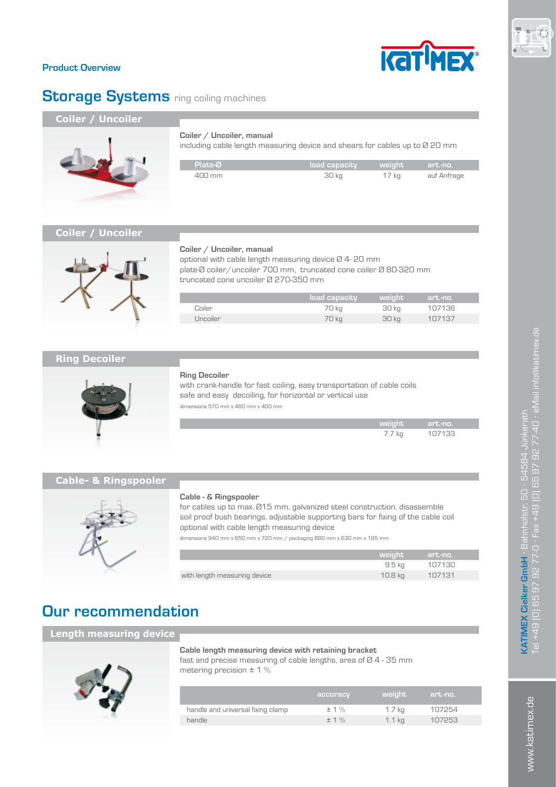![](_page_7_Picture_0.jpeg)

# **Product Overview**

# **Storage Systems** ring coiling machines

# **Coiler / Uncoiler**

![](_page_7_Picture_4.jpeg)

including cable length measuring device and shears for cables up to Ø 20 mm

| $\blacksquare$ Plate- $\varnothing$ . | load capacity weight art.-no. |       |             |
|---------------------------------------|-------------------------------|-------|-------------|
| $400 \text{ mm}$                      | 30 kg                         | 17 kg | auf Anfrage |

# **Coiler / Uncoiler**

![](_page_7_Picture_8.jpeg)

#### **Coiler / Uncoiler, manual**

optional with cable length measuring device Ø 4- 20 mm plate-Ø coiler/uncoiler 700 mm, truncated cone coiler Ø 80-320 mm truncated cone uncoiler Ø 270-350 mm

|                 | / load capacity | l weiaht' | art.-no. |  |
|-----------------|-----------------|-----------|----------|--|
| Coiler          | 70 kg           | 30 kg     | 107136   |  |
| <b>Uncoiler</b> | 70 kg           | 30 kg     | 107137   |  |

# **Ring Decoiler**

![](_page_7_Picture_13.jpeg)

#### **Ring Decoiler**

Г

with crank-handle for fast coiling, easy transportation of cable coils safe and easy decoiling, for horizontal or vertical use dimensions 570 mm x 460 mm x 400 mm

| <b>Weight</b>   | $\blacksquare$ art. no $\blacksquare$ |
|-----------------|---------------------------------------|
| $7.7 \text{ N}$ |                                       |

# **Cable- & Ringspooler**

![](_page_7_Picture_18.jpeg)

#### **Cable - & Ringspooler**

for cables up to max. Ø15 mm, galvanized steel construction, disassemble soil proof bush bearings, adjustable supporting bars for fixing of the cable coil optional with cable length measuring device

dimensions 940 mm x 650 mm x 720 mm / packaging 680 mm x 630 mm x 185 mm

|                              | weiaht  | art.-no. |
|------------------------------|---------|----------|
|                              | 9.5 ka  | 107130   |
| with length measuring device | 10.8 ka | 107131   |

# **Our recommendation**

# **Length measuring device**

![](_page_7_Picture_25.jpeg)

#### **Cable length measuring device with retaining bracket**

fast and precise measuring of cable lengths, area of Ø 4 - 35 mm metering precision  $\pm$  1 %

|                                   | accuracy | weight   | art.-no. |
|-----------------------------------|----------|----------|----------|
| handle and universal fixing clamp | ±1%      | 1.7 kg   | 107254   |
| handle                            | ± 1%     | $1.1$ kg | 107253   |
|                                   |          |          |          |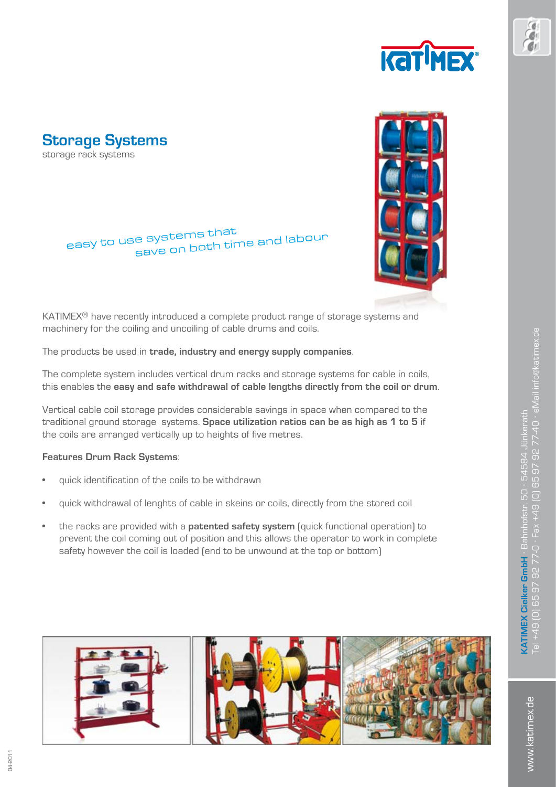![](_page_8_Picture_0.jpeg)

<span id="page-8-0"></span>![](_page_8_Picture_1.jpeg)

# easy to use systems that save on both time and labour

![](_page_8_Picture_3.jpeg)

KATIMEX® have recently introduced a complete product range of storage systems and machinery for the coiling and uncoiling of cable drums and coils.

The products be used in **trade, industry and energy supply companies**.

The complete system includes vertical drum racks and storage systems for cable in coils, this enables the **easy and safe withdrawal of cable lengths directly from the coil or drum**.

Vertical cable coil storage provides considerable savings in space when compared to the traditional ground storage systems. **Space utilization ratios can be as high as 1 to 5** if the coils are arranged vertically up to heights of five metres.

# **Features Drum Rack Systems**:

- quick identification of the coils to be withdrawn
- quick withdrawal of lenghts of cable in skeins or coils, directly from the stored coil
- • the racks are provided with a **patented safety system** (quick functional operation) to prevent the coil coming out of position and this allows the operator to work in complete safety however the coil is loaded (end to be unwound at the top or bottom)

![](_page_8_Picture_12.jpeg)

www.katimex.de